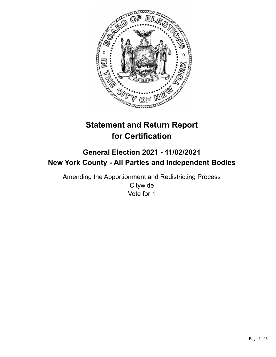

# **Statement and Return Report for Certification**

# **General Election 2021 - 11/02/2021 New York County - All Parties and Independent Bodies**

Amending the Apportionment and Redistricting Process **Citywide** Vote for 1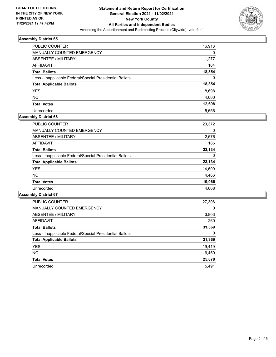

| <b>PUBLIC COUNTER</b>                                    | 16,913 |
|----------------------------------------------------------|--------|
| <b>MANUALLY COUNTED EMERGENCY</b>                        | 0      |
| ABSENTEE / MILITARY                                      | 1,277  |
| AFFIDAVIT                                                | 164    |
| <b>Total Ballots</b>                                     | 18,354 |
| Less - Inapplicable Federal/Special Presidential Ballots | 0      |
| <b>Total Applicable Ballots</b>                          | 18,354 |
| <b>YES</b>                                               | 8,698  |
| <b>NO</b>                                                | 4,000  |
| <b>Total Votes</b>                                       | 12,698 |
| Unrecorded                                               | 5.656  |

# **Assembly District 66**

| <b>PUBLIC COUNTER</b>                                    | 20,372 |
|----------------------------------------------------------|--------|
| <b>MANUALLY COUNTED EMERGENCY</b>                        | 0      |
| ABSENTEE / MILITARY                                      | 2,576  |
| AFFIDAVIT                                                | 186    |
| <b>Total Ballots</b>                                     | 23.134 |
| Less - Inapplicable Federal/Special Presidential Ballots | 0      |
| <b>Total Applicable Ballots</b>                          | 23,134 |
| <b>YES</b>                                               | 14,600 |
| NO.                                                      | 4,466  |
| <b>Total Votes</b>                                       | 19,066 |
| Unrecorded                                               | 4.068  |

| <b>PUBLIC COUNTER</b>                                    | 27,306   |
|----------------------------------------------------------|----------|
| MANUALLY COUNTED EMERGENCY                               | $\Omega$ |
| ABSENTEE / MILITARY                                      | 3,803    |
| <b>AFFIDAVIT</b>                                         | 260      |
| <b>Total Ballots</b>                                     | 31,369   |
| Less - Inapplicable Federal/Special Presidential Ballots | 0        |
| <b>Total Applicable Ballots</b>                          | 31,369   |
| <b>YES</b>                                               | 19,419   |
| NO.                                                      | 6,459    |
| <b>Total Votes</b>                                       | 25,878   |
| Unrecorded                                               | 5.491    |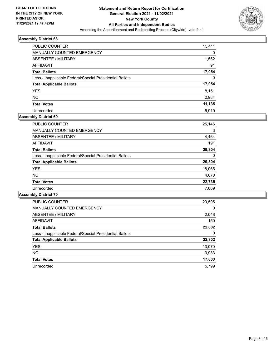

| <b>PUBLIC COUNTER</b>                                    | 15,411 |
|----------------------------------------------------------|--------|
| <b>MANUALLY COUNTED EMERGENCY</b>                        | 0      |
| ABSENTEE / MILITARY                                      | 1,552  |
| AFFIDAVIT                                                | 91     |
| <b>Total Ballots</b>                                     | 17,054 |
| Less - Inapplicable Federal/Special Presidential Ballots | 0      |
| <b>Total Applicable Ballots</b>                          | 17,054 |
| <b>YES</b>                                               | 8,151  |
| <b>NO</b>                                                | 2,984  |
| <b>Total Votes</b>                                       | 11,135 |
| Unrecorded                                               | 5.919  |

# **Assembly District 69**

| 25,146 |
|--------|
| 3      |
| 4,464  |
| 191    |
| 29,804 |
| 0      |
| 29,804 |
| 18,065 |
| 4,670  |
| 22,735 |
| 7,069  |
|        |

| <b>PUBLIC COUNTER</b>                                    | 20,595   |
|----------------------------------------------------------|----------|
| <b>MANUALLY COUNTED EMERGENCY</b>                        | $\Omega$ |
| ABSENTEE / MILITARY                                      | 2,048    |
| <b>AFFIDAVIT</b>                                         | 159      |
| <b>Total Ballots</b>                                     | 22,802   |
| Less - Inapplicable Federal/Special Presidential Ballots | 0        |
| <b>Total Applicable Ballots</b>                          | 22,802   |
| <b>YES</b>                                               | 13,070   |
| NO.                                                      | 3,933    |
| <b>Total Votes</b>                                       | 17,003   |
| Unrecorded                                               | 5.799    |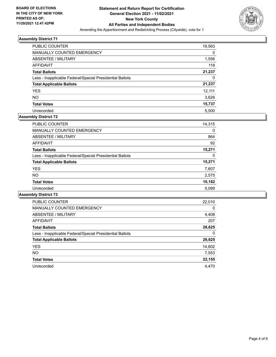

| <b>PUBLIC COUNTER</b>                                    | 19,563 |
|----------------------------------------------------------|--------|
| MANUALLY COUNTED EMERGENCY                               | 0      |
| ABSENTEE / MILITARY                                      | 1,556  |
| AFFIDAVIT                                                | 118    |
| <b>Total Ballots</b>                                     | 21,237 |
| Less - Inapplicable Federal/Special Presidential Ballots | 0      |
| <b>Total Applicable Ballots</b>                          | 21,237 |
| <b>YES</b>                                               | 12.111 |
| <b>NO</b>                                                | 3,626  |
| <b>Total Votes</b>                                       | 15,737 |
| Unrecorded                                               | 5.500  |

#### **Assembly District 72**

| PUBLIC COUNTER                                           | 14,315 |
|----------------------------------------------------------|--------|
|                                                          |        |
| <b>MANUALLY COUNTED EMERGENCY</b>                        | 0      |
| ABSENTEE / MILITARY                                      | 864    |
| AFFIDAVIT                                                | 92     |
| <b>Total Ballots</b>                                     | 15,271 |
| Less - Inapplicable Federal/Special Presidential Ballots | 0      |
| <b>Total Applicable Ballots</b>                          | 15,271 |
| <b>YES</b>                                               | 7,607  |
| NO.                                                      | 2,575  |
| <b>Total Votes</b>                                       | 10,182 |
| Unrecorded                                               | 5.089  |

| <b>PUBLIC COUNTER</b>                                    | 22,010   |
|----------------------------------------------------------|----------|
| <b>MANUALLY COUNTED EMERGENCY</b>                        | $\Omega$ |
| ABSENTEE / MILITARY                                      | 4,408    |
| <b>AFFIDAVIT</b>                                         | 207      |
| <b>Total Ballots</b>                                     | 26,625   |
| Less - Inapplicable Federal/Special Presidential Ballots | 0        |
| <b>Total Applicable Ballots</b>                          | 26,625   |
| <b>YES</b>                                               | 14,602   |
| NO.                                                      | 7,553    |
| <b>Total Votes</b>                                       | 22,155   |
| Unrecorded                                               | 4.470    |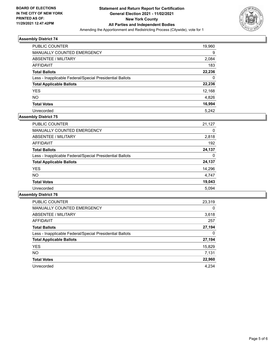

| <b>PUBLIC COUNTER</b>                                    | 19,960 |
|----------------------------------------------------------|--------|
| <b>MANUALLY COUNTED EMERGENCY</b>                        | 9      |
| ABSENTEE / MILITARY                                      | 2,084  |
| AFFIDAVIT                                                | 183    |
| <b>Total Ballots</b>                                     | 22,236 |
| Less - Inapplicable Federal/Special Presidential Ballots | 0      |
| <b>Total Applicable Ballots</b>                          | 22,236 |
| <b>YES</b>                                               | 12,168 |
| <b>NO</b>                                                | 4,826  |
| <b>Total Votes</b>                                       | 16,994 |
| Unrecorded                                               | 5.242  |

# **Assembly District 75**

| <b>PUBLIC COUNTER</b>                                    | 21,127 |
|----------------------------------------------------------|--------|
| <b>MANUALLY COUNTED EMERGENCY</b>                        | 0      |
| ABSENTEE / MILITARY                                      | 2,818  |
| AFFIDAVIT                                                | 192    |
| <b>Total Ballots</b>                                     | 24,137 |
| Less - Inapplicable Federal/Special Presidential Ballots | 0      |
| <b>Total Applicable Ballots</b>                          | 24,137 |
| <b>YES</b>                                               | 14,296 |
| <b>NO</b>                                                | 4,747  |
| <b>Total Votes</b>                                       | 19,043 |
| Unrecorded                                               | 5.094  |

| PUBLIC COUNTER                                           | 23,319   |
|----------------------------------------------------------|----------|
| <b>MANUALLY COUNTED EMERGENCY</b>                        | $\Omega$ |
| ABSENTEE / MILITARY                                      | 3,618    |
| AFFIDAVIT                                                | 257      |
| <b>Total Ballots</b>                                     | 27,194   |
| Less - Inapplicable Federal/Special Presidential Ballots | 0        |
| <b>Total Applicable Ballots</b>                          | 27,194   |
| <b>YES</b>                                               | 15,829   |
| <b>NO</b>                                                | 7,131    |
| <b>Total Votes</b>                                       | 22,960   |
| Unrecorded                                               | 4.234    |